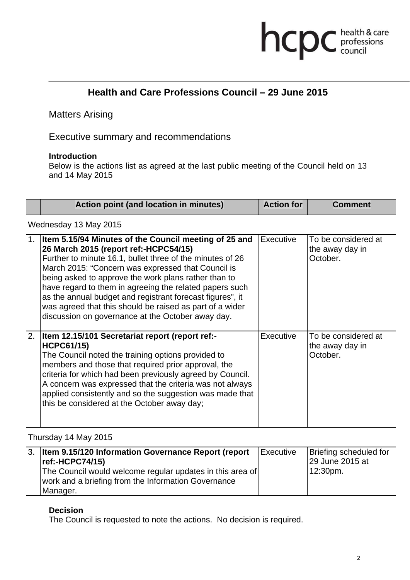# hcpc health & care

## **Health and Care Professions Council – 29 June 2015**

Matters Arising

Executive summary and recommendations

#### **Introduction**

Below is the actions list as agreed at the last public meeting of the Council held on 13 and 14 May 2015

|                       | Action point (and location in minutes)                                                                                                                                                                                                                                                                                                                                                                                                                                                                             | <b>Action for</b> | <b>Comment</b>                                        |
|-----------------------|--------------------------------------------------------------------------------------------------------------------------------------------------------------------------------------------------------------------------------------------------------------------------------------------------------------------------------------------------------------------------------------------------------------------------------------------------------------------------------------------------------------------|-------------------|-------------------------------------------------------|
| Wednesday 13 May 2015 |                                                                                                                                                                                                                                                                                                                                                                                                                                                                                                                    |                   |                                                       |
| 1.                    | Item 5.15/94 Minutes of the Council meeting of 25 and<br>26 March 2015 (report ref:-HCPC54/15)<br>Further to minute 16.1, bullet three of the minutes of 26<br>March 2015: "Concern was expressed that Council is<br>being asked to approve the work plans rather than to<br>have regard to them in agreeing the related papers such<br>as the annual budget and registrant forecast figures", it<br>was agreed that this should be raised as part of a wider<br>discussion on governance at the October away day. | Executive         | To be considered at<br>the away day in<br>October.    |
| 2.                    | Item 12.15/101 Secretariat report (report ref:-<br><b>HCPC61/15)</b><br>The Council noted the training options provided to<br>members and those that required prior approval, the<br>criteria for which had been previously agreed by Council.<br>A concern was expressed that the criteria was not always<br>applied consistently and so the suggestion was made that<br>this be considered at the October away day;                                                                                              | Executive         | To be considered at<br>the away day in<br>October.    |
| Thursday 14 May 2015  |                                                                                                                                                                                                                                                                                                                                                                                                                                                                                                                    |                   |                                                       |
|                       | 3.   Item 9.15/120 Information Governance Report (report<br>ref:-HCPC74/15)<br>The Council would welcome regular updates in this area of<br>work and a briefing from the Information Governance<br>Manager.                                                                                                                                                                                                                                                                                                        | Executive         | Briefing scheduled for<br>29 June 2015 at<br>12:30pm. |

#### **Decision**

The Council is requested to note the actions. No decision is required.